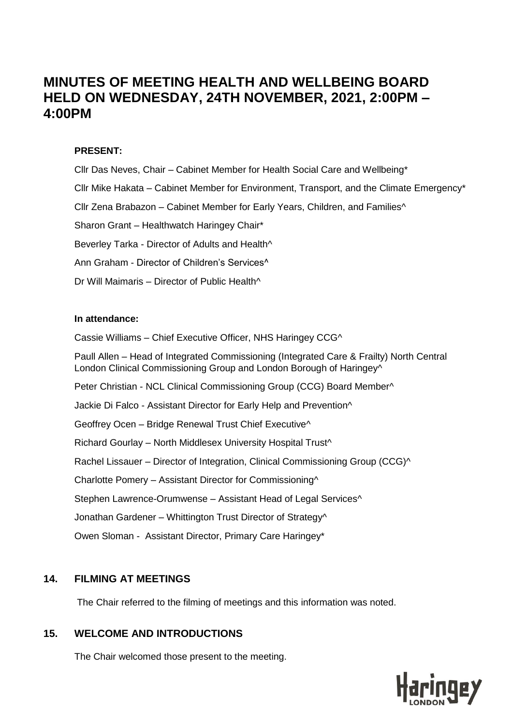# **MINUTES OF MEETING HEALTH AND WELLBEING BOARD HELD ON WEDNESDAY, 24TH NOVEMBER, 2021, 2:00PM – 4:00PM**

#### **PRESENT:**

Cllr Das Neves, Chair – Cabinet Member for Health Social Care and Wellbeing\* Cllr Mike Hakata – Cabinet Member for Environment, Transport, and the Climate Emergency\* Cllr Zena Brabazon – Cabinet Member for Early Years, Children, and Families^ Sharon Grant – Healthwatch Haringey Chair\* Beverley Tarka - Director of Adults and Health^ Ann Graham - Director of Children's Services^ Dr Will Maimaris – Director of Public Health^

#### **In attendance:**

Cassie Williams – Chief Executive Officer, NHS Haringey CCG^

Paull Allen – Head of Integrated Commissioning (Integrated Care & Frailty) North Central London Clinical Commissioning Group and London Borough of Haringey^

Peter Christian - NCL Clinical Commissioning Group (CCG) Board Member^

Jackie Di Falco - Assistant Director for Early Help and Prevention^

Geoffrey Ocen – Bridge Renewal Trust Chief Executive^

Richard Gourlay – North Middlesex University Hospital Trust^

Rachel Lissauer – Director of Integration, Clinical Commissioning Group (CCG)^

Charlotte Pomery – Assistant Director for Commissioning^

Stephen Lawrence-Orumwense – Assistant Head of Legal Services^

Jonathan Gardener – Whittington Trust Director of Strategy^

Owen Sloman - Assistant Director, Primary Care Haringey\*

# **14. FILMING AT MEETINGS**

The Chair referred to the filming of meetings and this information was noted.

# **15. WELCOME AND INTRODUCTIONS**

The Chair welcomed those present to the meeting.

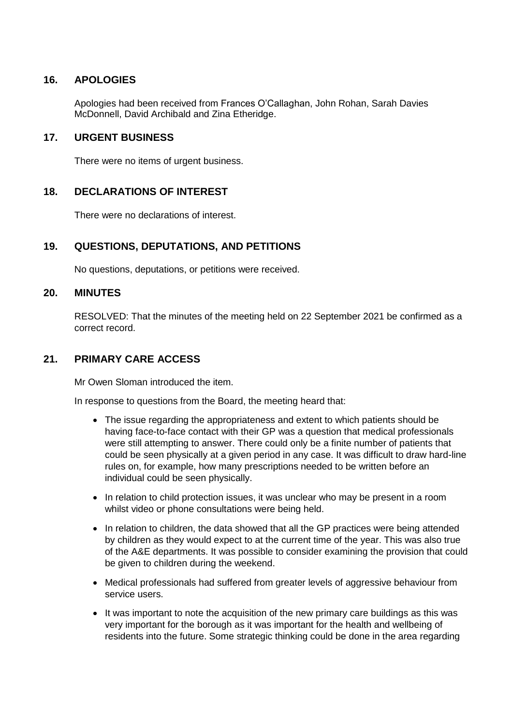# **16. APOLOGIES**

Apologies had been received from Frances O'Callaghan, John Rohan, Sarah Davies McDonnell, David Archibald and Zina Etheridge.

### **17. URGENT BUSINESS**

There were no items of urgent business.

# **18. DECLARATIONS OF INTEREST**

There were no declarations of interest.

# **19. QUESTIONS, DEPUTATIONS, AND PETITIONS**

No questions, deputations, or petitions were received.

#### **20. MINUTES**

RESOLVED: That the minutes of the meeting held on 22 September 2021 be confirmed as a correct record.

#### **21. PRIMARY CARE ACCESS**

Mr Owen Sloman introduced the item.

In response to questions from the Board, the meeting heard that:

- The issue regarding the appropriateness and extent to which patients should be having face-to-face contact with their GP was a question that medical professionals were still attempting to answer. There could only be a finite number of patients that could be seen physically at a given period in any case. It was difficult to draw hard-line rules on, for example, how many prescriptions needed to be written before an individual could be seen physically.
- In relation to child protection issues, it was unclear who may be present in a room whilst video or phone consultations were being held.
- In relation to children, the data showed that all the GP practices were being attended by children as they would expect to at the current time of the year. This was also true of the A&E departments. It was possible to consider examining the provision that could be given to children during the weekend.
- Medical professionals had suffered from greater levels of aggressive behaviour from service users.
- It was important to note the acquisition of the new primary care buildings as this was very important for the borough as it was important for the health and wellbeing of residents into the future. Some strategic thinking could be done in the area regarding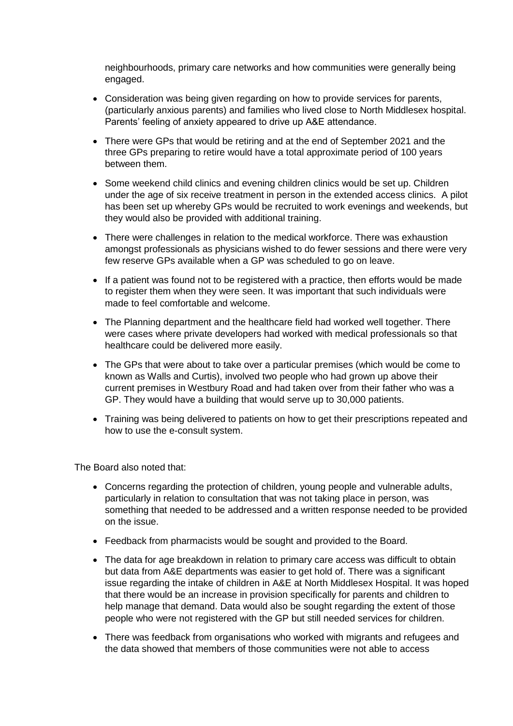neighbourhoods, primary care networks and how communities were generally being engaged.

- Consideration was being given regarding on how to provide services for parents, (particularly anxious parents) and families who lived close to North Middlesex hospital. Parents' feeling of anxiety appeared to drive up A&E attendance.
- There were GPs that would be retiring and at the end of September 2021 and the three GPs preparing to retire would have a total approximate period of 100 years between them.
- Some weekend child clinics and evening children clinics would be set up. Children under the age of six receive treatment in person in the extended access clinics. A pilot has been set up whereby GPs would be recruited to work evenings and weekends, but they would also be provided with additional training.
- There were challenges in relation to the medical workforce. There was exhaustion amongst professionals as physicians wished to do fewer sessions and there were very few reserve GPs available when a GP was scheduled to go on leave.
- If a patient was found not to be registered with a practice, then efforts would be made to register them when they were seen. It was important that such individuals were made to feel comfortable and welcome.
- The Planning department and the healthcare field had worked well together. There were cases where private developers had worked with medical professionals so that healthcare could be delivered more easily.
- The GPs that were about to take over a particular premises (which would be come to known as Walls and Curtis), involved two people who had grown up above their current premises in Westbury Road and had taken over from their father who was a GP. They would have a building that would serve up to 30,000 patients.
- Training was being delivered to patients on how to get their prescriptions repeated and how to use the e-consult system.

The Board also noted that:

- Concerns regarding the protection of children, young people and vulnerable adults, particularly in relation to consultation that was not taking place in person, was something that needed to be addressed and a written response needed to be provided on the issue.
- Feedback from pharmacists would be sought and provided to the Board.
- The data for age breakdown in relation to primary care access was difficult to obtain but data from A&E departments was easier to get hold of. There was a significant issue regarding the intake of children in A&E at North Middlesex Hospital. It was hoped that there would be an increase in provision specifically for parents and children to help manage that demand. Data would also be sought regarding the extent of those people who were not registered with the GP but still needed services for children.
- There was feedback from organisations who worked with migrants and refugees and the data showed that members of those communities were not able to access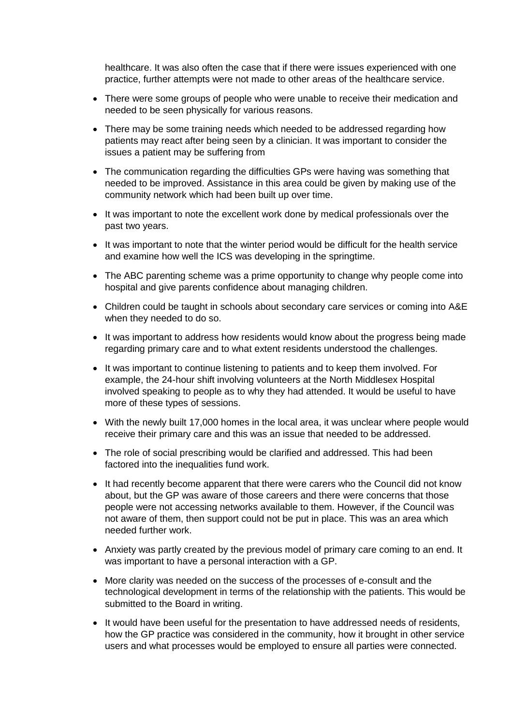healthcare. It was also often the case that if there were issues experienced with one practice, further attempts were not made to other areas of the healthcare service.

- There were some groups of people who were unable to receive their medication and needed to be seen physically for various reasons.
- There may be some training needs which needed to be addressed regarding how patients may react after being seen by a clinician. It was important to consider the issues a patient may be suffering from
- The communication regarding the difficulties GPs were having was something that needed to be improved. Assistance in this area could be given by making use of the community network which had been built up over time.
- It was important to note the excellent work done by medical professionals over the past two years.
- It was important to note that the winter period would be difficult for the health service and examine how well the ICS was developing in the springtime.
- The ABC parenting scheme was a prime opportunity to change why people come into hospital and give parents confidence about managing children.
- Children could be taught in schools about secondary care services or coming into A&E when they needed to do so.
- It was important to address how residents would know about the progress being made regarding primary care and to what extent residents understood the challenges.
- It was important to continue listening to patients and to keep them involved. For example, the 24-hour shift involving volunteers at the North Middlesex Hospital involved speaking to people as to why they had attended. It would be useful to have more of these types of sessions.
- With the newly built 17,000 homes in the local area, it was unclear where people would receive their primary care and this was an issue that needed to be addressed.
- The role of social prescribing would be clarified and addressed. This had been factored into the inequalities fund work.
- It had recently become apparent that there were carers who the Council did not know about, but the GP was aware of those careers and there were concerns that those people were not accessing networks available to them. However, if the Council was not aware of them, then support could not be put in place. This was an area which needed further work.
- Anxiety was partly created by the previous model of primary care coming to an end. It was important to have a personal interaction with a GP.
- More clarity was needed on the success of the processes of e-consult and the technological development in terms of the relationship with the patients. This would be submitted to the Board in writing.
- It would have been useful for the presentation to have addressed needs of residents, how the GP practice was considered in the community, how it brought in other service users and what processes would be employed to ensure all parties were connected.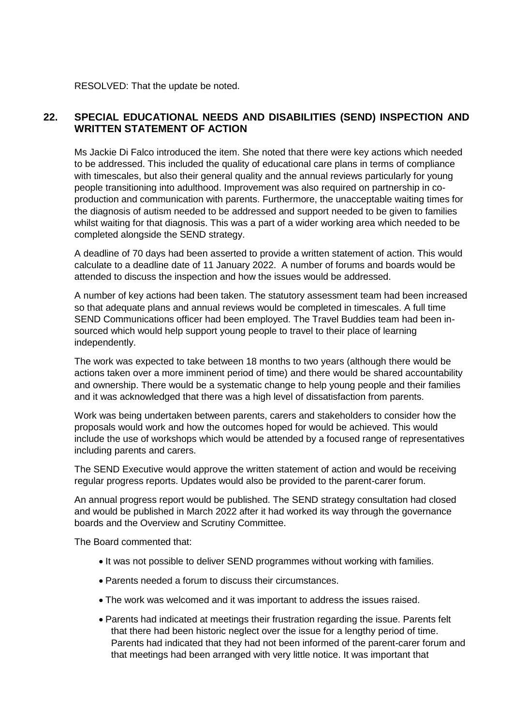RESOLVED: That the update be noted.

# **22. SPECIAL EDUCATIONAL NEEDS AND DISABILITIES (SEND) INSPECTION AND WRITTEN STATEMENT OF ACTION**

Ms Jackie Di Falco introduced the item. She noted that there were key actions which needed to be addressed. This included the quality of educational care plans in terms of compliance with timescales, but also their general quality and the annual reviews particularly for young people transitioning into adulthood. Improvement was also required on partnership in coproduction and communication with parents. Furthermore, the unacceptable waiting times for the diagnosis of autism needed to be addressed and support needed to be given to families whilst waiting for that diagnosis. This was a part of a wider working area which needed to be completed alongside the SEND strategy.

A deadline of 70 days had been asserted to provide a written statement of action. This would calculate to a deadline date of 11 January 2022. A number of forums and boards would be attended to discuss the inspection and how the issues would be addressed.

A number of key actions had been taken. The statutory assessment team had been increased so that adequate plans and annual reviews would be completed in timescales. A full time SEND Communications officer had been employed. The Travel Buddies team had been insourced which would help support young people to travel to their place of learning independently.

The work was expected to take between 18 months to two years (although there would be actions taken over a more imminent period of time) and there would be shared accountability and ownership. There would be a systematic change to help young people and their families and it was acknowledged that there was a high level of dissatisfaction from parents.

Work was being undertaken between parents, carers and stakeholders to consider how the proposals would work and how the outcomes hoped for would be achieved. This would include the use of workshops which would be attended by a focused range of representatives including parents and carers.

The SEND Executive would approve the written statement of action and would be receiving regular progress reports. Updates would also be provided to the parent-carer forum.

An annual progress report would be published. The SEND strategy consultation had closed and would be published in March 2022 after it had worked its way through the governance boards and the Overview and Scrutiny Committee.

The Board commented that:

- It was not possible to deliver SEND programmes without working with families.
- Parents needed a forum to discuss their circumstances.
- The work was welcomed and it was important to address the issues raised.
- Parents had indicated at meetings their frustration regarding the issue. Parents felt that there had been historic neglect over the issue for a lengthy period of time. Parents had indicated that they had not been informed of the parent-carer forum and that meetings had been arranged with very little notice. It was important that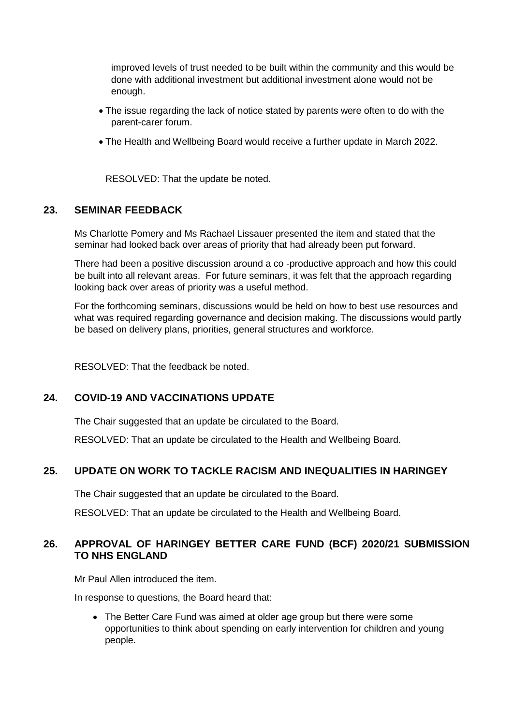improved levels of trust needed to be built within the community and this would be done with additional investment but additional investment alone would not be enough.

- The issue regarding the lack of notice stated by parents were often to do with the parent-carer forum.
- The Health and Wellbeing Board would receive a further update in March 2022.

RESOLVED: That the update be noted.

#### **23. SEMINAR FEEDBACK**

Ms Charlotte Pomery and Ms Rachael Lissauer presented the item and stated that the seminar had looked back over areas of priority that had already been put forward.

There had been a positive discussion around a co -productive approach and how this could be built into all relevant areas. For future seminars, it was felt that the approach regarding looking back over areas of priority was a useful method.

For the forthcoming seminars, discussions would be held on how to best use resources and what was required regarding governance and decision making. The discussions would partly be based on delivery plans, priorities, general structures and workforce.

RESOLVED: That the feedback be noted.

# **24. COVID-19 AND VACCINATIONS UPDATE**

The Chair suggested that an update be circulated to the Board.

RESOLVED: That an update be circulated to the Health and Wellbeing Board.

# **25. UPDATE ON WORK TO TACKLE RACISM AND INEQUALITIES IN HARINGEY**

The Chair suggested that an update be circulated to the Board.

RESOLVED: That an update be circulated to the Health and Wellbeing Board.

# **26. APPROVAL OF HARINGEY BETTER CARE FUND (BCF) 2020/21 SUBMISSION TO NHS ENGLAND**

Mr Paul Allen introduced the item.

In response to questions, the Board heard that:

• The Better Care Fund was aimed at older age group but there were some opportunities to think about spending on early intervention for children and young people.